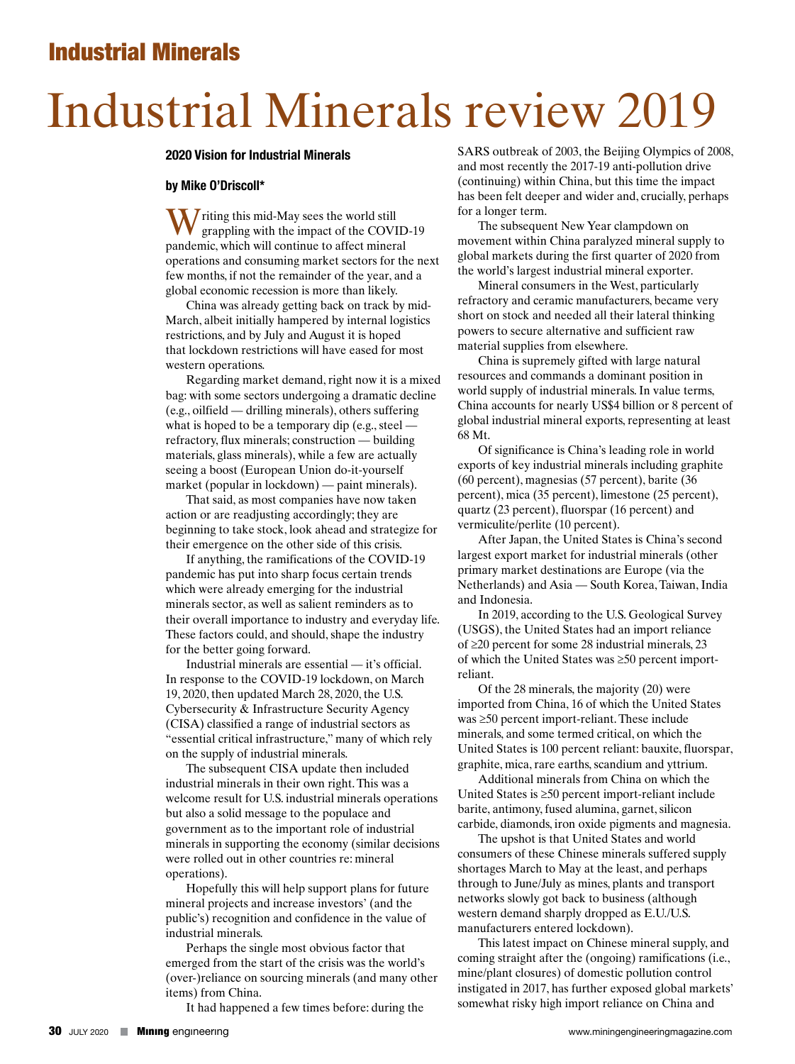# Industrial Minerals review 2019

### **2020 Vision for Industrial Minerals**

## **by Mike O'Driscoll\***

W riting this mid-May sees the world still<br>grappling with the impact of the COVID-19 pandemic, which will continue to affect mineral operations and consuming market sectors for the next few months, if not the remainder of the year, and a global economic recession is more than likely.

China was already getting back on track by mid-March, albeit initially hampered by internal logistics restrictions, and by July and August it is hoped that lockdown restrictions will have eased for most western operations.

Regarding market demand, right now it is a mixed bag: with some sectors undergoing a dramatic decline (e.g., oilfield — drilling minerals), others suffering what is hoped to be a temporary dip (e.g., steel refractory, flux minerals; construction — building materials, glass minerals), while a few are actually seeing a boost (European Union do-it-yourself market (popular in lockdown) — paint minerals).

That said, as most companies have now taken action or are readjusting accordingly; they are beginning to take stock, look ahead and strategize for their emergence on the other side of this crisis.

If anything, the ramifications of the COVID-19 pandemic has put into sharp focus certain trends which were already emerging for the industrial minerals sector, as well as salient reminders as to their overall importance to industry and everyday life. These factors could, and should, shape the industry for the better going forward.

Industrial minerals are essential — it's official. In response to the COVID-19 lockdown, on March 19, 2020, then updated March 28, 2020, the U.S. Cybersecurity & Infrastructure Security Agency (CISA) classified a range of industrial sectors as "essential critical infrastructure," many of which rely on the supply of industrial minerals.

The subsequent CISA update then included industrial minerals in their own right. This was a welcome result for U.S. industrial minerals operations but also a solid message to the populace and government as to the important role of industrial minerals in supporting the economy (similar decisions were rolled out in other countries re: mineral operations).

Hopefully this will help support plans for future mineral projects and increase investors' (and the public's) recognition and confidence in the value of industrial minerals.

Perhaps the single most obvious factor that emerged from the start of the crisis was the world's (over-)reliance on sourcing minerals (and many other items) from China.

It had happened a few times before: during the

SARS outbreak of 2003, the Beijing Olympics of 2008, and most recently the 2017-19 anti-pollution drive (continuing) within China, but this time the impact has been felt deeper and wider and, crucially, perhaps for a longer term.

The subsequent New Year clampdown on movement within China paralyzed mineral supply to global markets during the first quarter of 2020 from the world's largest industrial mineral exporter.

Mineral consumers in the West, particularly refractory and ceramic manufacturers, became very short on stock and needed all their lateral thinking powers to secure alternative and sufficient raw material supplies from elsewhere.

China is supremely gifted with large natural resources and commands a dominant position in world supply of industrial minerals. In value terms, China accounts for nearly US\$4 billion or 8 percent of global industrial mineral exports, representing at least 68 Mt.

Of significance is China's leading role in world exports of key industrial minerals including graphite (60 percent), magnesias (57 percent), barite (36 percent), mica (35 percent), limestone (25 percent), quartz (23 percent), fluorspar (16 percent) and vermiculite/perlite (10 percent).

After Japan, the United States is China's second largest export market for industrial minerals (other primary market destinations are Europe (via the Netherlands) and Asia — South Korea, Taiwan, India and Indonesia.

In 2019, according to the U.S. Geological Survey (USGS), the United States had an import reliance of ≥20 percent for some 28 industrial minerals, 23 of which the United States was ≥50 percent importreliant.

Of the 28 minerals, the majority (20) were imported from China, 16 of which the United States was ≥50 percent import-reliant. These include minerals, and some termed critical, on which the United States is 100 percent reliant: bauxite, fluorspar, graphite, mica, rare earths, scandium and yttrium.

Additional minerals from China on which the United States is ≥50 percent import-reliant include barite, antimony, fused alumina, garnet, silicon carbide, diamonds, iron oxide pigments and magnesia.

The upshot is that United States and world consumers of these Chinese minerals suffered supply shortages March to May at the least, and perhaps through to June/July as mines, plants and transport networks slowly got back to business (although western demand sharply dropped as E.U./U.S. manufacturers entered lockdown).

This latest impact on Chinese mineral supply, and coming straight after the (ongoing) ramifications (i.e., mine/plant closures) of domestic pollution control instigated in 2017, has further exposed global markets' somewhat risky high import reliance on China and